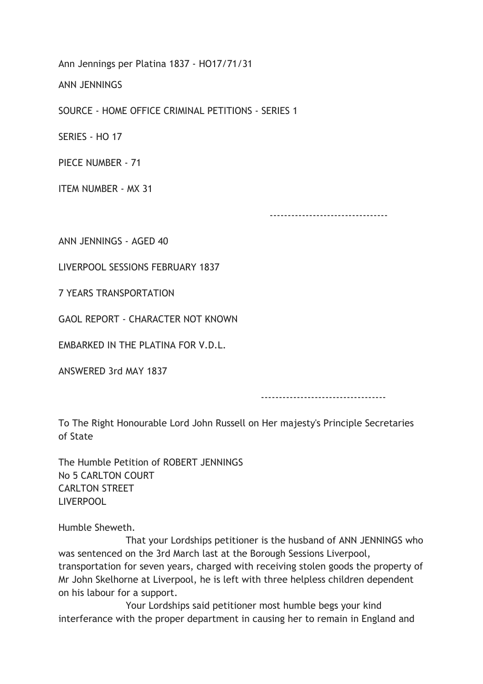Ann Jennings per Platina 1837 - HO17/71/31

ANN JENNINGS

SOURCE - HOME OFFICE CRIMINAL PETITIONS - SERIES 1

SERIES - HO 17

PIECE NUMBER - 71

ITEM NUMBER - MX 31

---------------------------------

ANN JENNINGS - AGED 40

LIVERPOOL SESSIONS FEBRUARY 1837

7 YEARS TRANSPORTATION

GAOL REPORT - CHARACTER NOT KNOWN

**EMBARKED IN THE PLATINA FOR V.D.L.** 

ANSWERED 3rd MAY 1837

-----------------------------------

To The Right Honourable Lord John Russell on Her majesty's Principle Secretaries of State

The Humble Petition of ROBERT JENNINGS No 5 CARLTON COURT CARLTON STREET LIVERPOOL

Humble Sheweth.

 That your Lordships petitioner is the husband of ANN JENNINGS who was sentenced on the 3rd March last at the Borough Sessions Liverpool, transportation for seven years, charged with receiving stolen goods the property of Mr John Skelhorne at Liverpool, he is left with three helpless children dependent on his labour for a support.

 Your Lordships said petitioner most humble begs your kind interferance with the proper department in causing her to remain in England and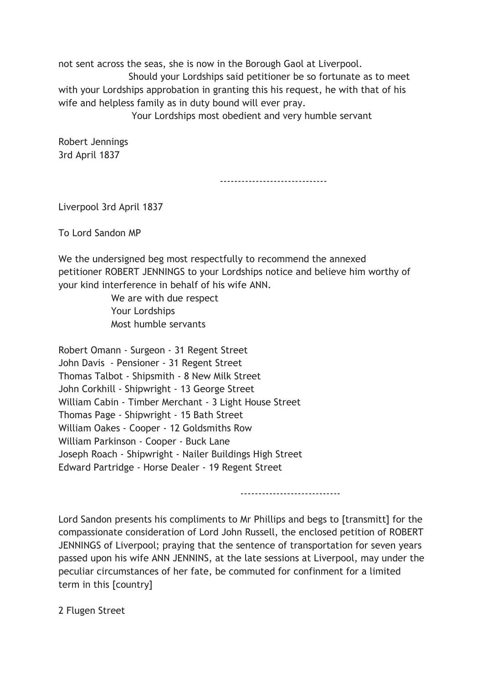not sent across the seas, she is now in the Borough Gaol at Liverpool.

 Should your Lordships said petitioner be so fortunate as to meet with your Lordships approbation in granting this his request, he with that of his wife and helpless family as in duty bound will ever pray.

Your Lordships most obedient and very humble servant

Robert Jennings 3rd April 1837

------------------------------

Liverpool 3rd April 1837

To Lord Sandon MP

We the undersigned beg most respectfully to recommend the annexed petitioner ROBERT JENNINGS to your Lordships notice and believe him worthy of your kind interference in behalf of his wife ANN.

> We are with due respect Your Lordships Most humble servants

Robert Omann - Surgeon - 31 Regent Street John Davis - Pensioner - 31 Regent Street Thomas Talbot - Shipsmith - 8 New Milk Street John Corkhill - Shipwright - 13 George Street William Cabin - Timber Merchant - 3 Light House Street Thomas Page - Shipwright - 15 Bath Street William Oakes - Cooper - 12 Goldsmiths Row William Parkinson - Cooper - Buck Lane Joseph Roach - Shipwright - Nailer Buildings High Street Edward Partridge - Horse Dealer - 19 Regent Street

----------------------------

Lord Sandon presents his compliments to Mr Phillips and begs to [transmitt] for the compassionate consideration of Lord John Russell, the enclosed petition of ROBERT JENNINGS of Liverpool; praying that the sentence of transportation for seven years passed upon his wife ANN JENNINS, at the late sessions at Liverpool, may under the peculiar circumstances of her fate, be commuted for confinment for a limited term in this [country]

2 Flugen Street